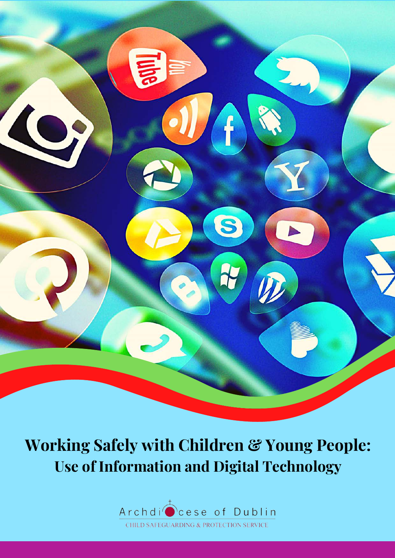

### **Working Safely with Children & Young People: Use of Information and Digital Technology**

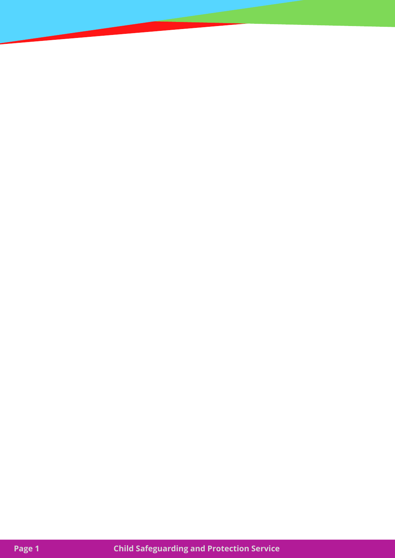**Page 1 Child Safeguarding and Protection Service**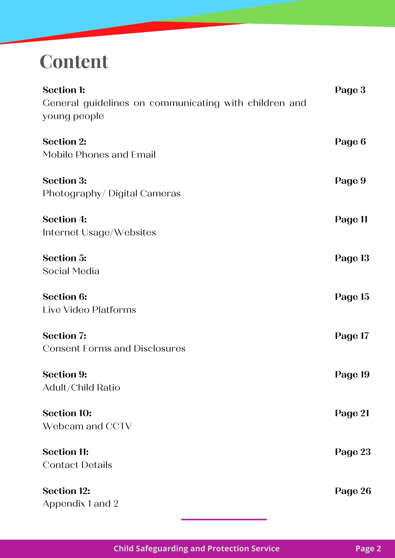### **Content**

| <b>Section 1:</b><br>General guidelines on communicating with children and<br>young people | Page 3  |
|--------------------------------------------------------------------------------------------|---------|
| <b>Section 2:</b><br><b>Mobile Phones and Email</b>                                        | Page 6  |
| <b>Section 3:</b><br>Photography/Digital Cameras                                           | Page 9  |
| <b>Section 4:</b><br>Internet Usage/Websites                                               | Page 11 |
| <b>Section 5:</b><br><b>Social Media</b>                                                   | Page 13 |
| <b>Section 6:</b><br>Live Video Platforms                                                  | Page 15 |
| <b>Section 7:</b><br><b>Consent Forms and Disclosures</b>                                  | Page 17 |
| <b>Section 9:</b><br>Adult/Child Ratio                                                     | Page 19 |
| <b>Section 10:</b><br>Webcam and CCTV                                                      | Page 21 |
| <b>Section 11:</b><br><b>Contact Details</b>                                               | Page 23 |
| <b>Section 12:</b><br>Appendix 1 and 2                                                     | Page 26 |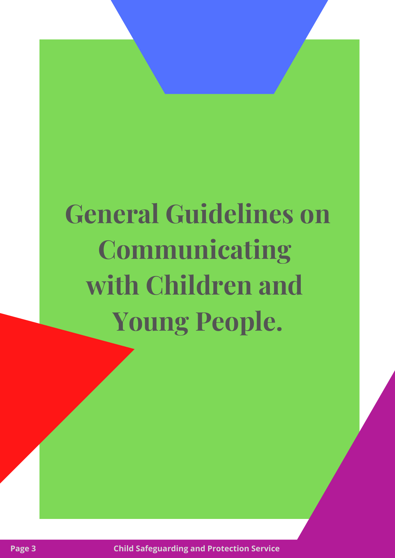# **General Guidelines on Communicating with Children and Young People.**

**Page 3 Child Safeguarding and Protection Service**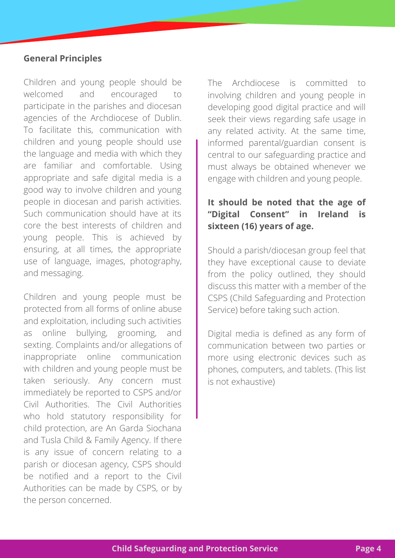#### **General Principles**

Children and young people should be welcomed and encouraged to participate in the parishes and diocesan agencies of the Archdiocese of Dublin. To facilitate this, communication with children and young people should use the language and media with which they are familiar and comfortable. Using appropriate and safe digital media is a good way to involve children and young people in diocesan and parish activities. Such communication should have at its core the best interests of children and young people. This is achieved by ensuring, at all times, the appropriate use of language, images, photography, and messaging.

Children and young people must be protected from all forms of online abuse and exploitation, including such activities as online bullying, grooming, and sexting. Complaints and/or allegations of inappropriate online communication with children and young people must be taken seriously. Any concern must immediately be reported to CSPS and/or Civil Authorities. The Civil Authorities who hold statutory responsibility for child protection, are An Garda Siochana and Tusla Child & Family Agency. If there is any issue of concern relating to a parish or diocesan agency, CSPS should be notified and a report to the Civil Authorities can be made by CSPS, or by the person concerned.

The Archdiocese is committed to involving children and young people in developing good digital practice and will seek their views regarding safe usage in any related activity. At the same time, informed parental/guardian consent is central to our safeguarding practice and must always be obtained whenever we engage with children and young people.

#### **It should be noted that the age of "Digital Consent" in Ireland is sixteen (16) years of age.**

Should a parish/diocesan group feel that they have exceptional cause to deviate from the policy outlined, they should discuss this matter with a member of the CSPS (Child Safeguarding and Protection Service) before taking such action.

Digital media is defined as any form of communication between two parties or more using electronic devices such as phones, computers, and tablets. (This list is not exhaustive)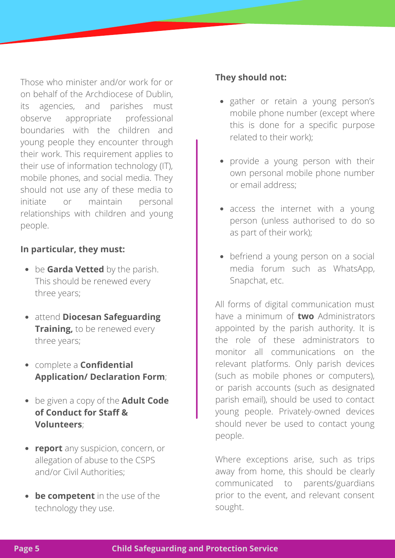Those who minister and/or work for or on behalf of the Archdiocese of Dublin, its agencies, and parishes must observe appropriate professional boundaries with the children and young people they encounter through their work. This requirement applies to their use of information technology (IT), mobile phones, and social media. They should not use any of these media to initiate or maintain personal relationships with children and young people.

#### **In particular, they must:**

- be **Garda Vetted** by the parish. This should be renewed every three years;
- **attend Diocesan Safeguarding Training,** to be renewed every three years;
- complete a **Confidential Application/ Declaration Form**;
- be given a copy of the **Adult Code of Conduct for Staff & Volunteers**;
- **report** any suspicion, concern, or allegation of abuse to the CSPS and/or Civil Authorities;
- **be competent** in the use of the technology they use.

#### **They should not:**

- gather or retain a young person's mobile phone number (except where this is done for a specific purpose related to their work);
- provide a young person with their own personal mobile phone number or email address;
- access the internet with a young person (unless authorised to do so as part of their work);
- befriend a young person on a social media forum such as WhatsApp, Snapchat, etc.

All forms of digital communication must have a minimum of **two** Administrators appointed by the parish authority. It is the role of these administrators to monitor all communications on the relevant platforms. Only parish devices (such as mobile phones or computers), or parish accounts (such as designated parish email), should be used to contact young people. Privately-owned devices should never be used to contact young people.

Where exceptions arise, such as trips away from home, this should be clearly communicated to parents/guardians prior to the event, and relevant consent sought.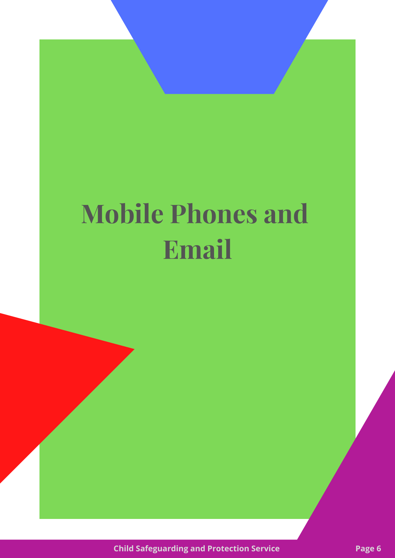## **Mobile Phones and Email**

**Child Safeguarding and Protection Service Page 6**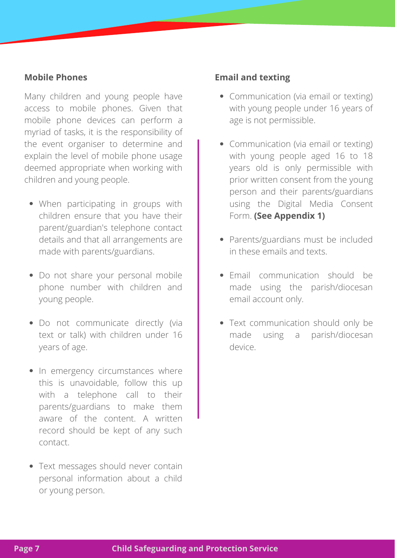#### **Mobile Phones**

Many children and young people have access to mobile phones. Given that mobile phone devices can perform a myriad of tasks, it is the responsibility of the event organiser to determine and explain the level of mobile phone usage deemed appropriate when working with children and young people.

- When participating in groups with children ensure that you have their parent/guardian's telephone contact details and that all arrangements are made with parents/guardians.
- Do not share your personal mobile phone number with children and young people.
- Do not communicate directly (via text or talk) with children under 16 years of age.
- In emergency circumstances where this is unavoidable, follow this up with a telephone call to their parents/guardians to make them aware of the content. A written record should be kept of any such contact.
- Text messages should never contain personal information about a child or young person.

#### **Email and texting**

- Communication (via email or texting) with young people under 16 years of age is not permissible.
- Communication (via email or texting) with young people aged 16 to 18 years old is only permissible with prior written consent from the young person and their parents/guardians using the Digital Media Consent Form. **(See Appendix 1)**
- Parents/guardians must be included in these emails and texts.
- Email communication should be made using the parish/diocesan email account only.
- Text communication should only be made using a parish/diocesan device.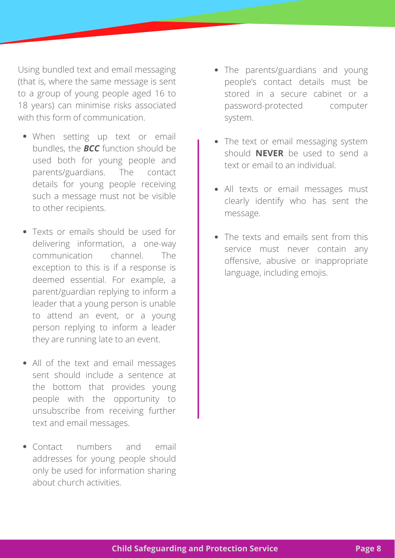Using bundled text and email messaging (that is, where the same message is sent to a group of young people aged 16 to 18 years) can minimise risks associated with this form of communication.

- When setting up text or email bundles, the *BCC* function should be used both for young people and parents/guardians. The contact details for young people receiving such a message must not be visible to other recipients.
- Texts or emails should be used for delivering information, a one-way communication channel. The exception to this is if a response is deemed essential. For example, a parent/guardian replying to inform a leader that a young person is unable to attend an event, or a young person replying to inform a leader they are running late to an event.
- All of the text and email messages sent should include a sentence at the bottom that provides young people with the opportunity to unsubscribe from receiving further text and email messages.
- Contact numbers and email addresses for young people should only be used for information sharing about church activities.
- The parents/guardians and young people's contact details must be stored in a secure cabinet or a password-protected computer system.
- The text or email messaging system should **NEVER** be used to send a text or email to an individual.
- All texts or email messages must clearly identify who has sent the message.
- The texts and emails sent from this service must never contain any offensive, abusive or inappropriate language, including emojis.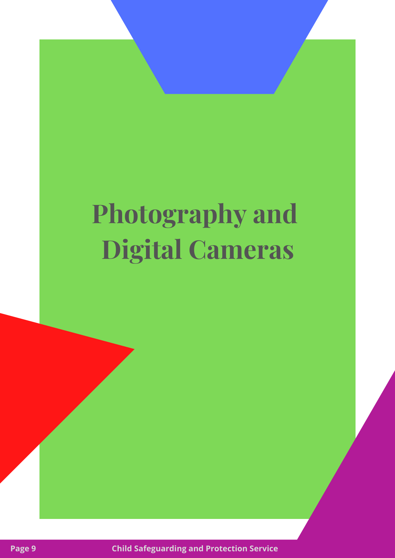## **Photography and Digital Cameras**

**Page 9 Child Safeguarding and Protection Service**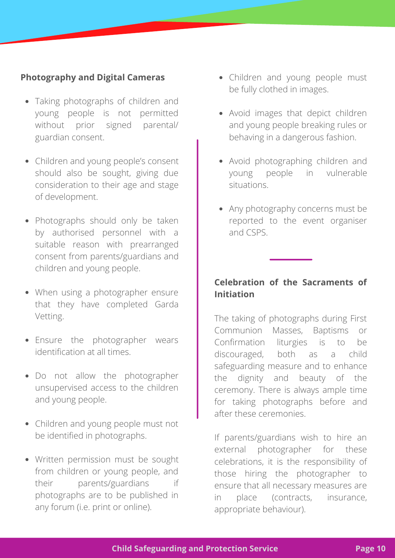#### **Photography and Digital Cameras**

- Taking photographs of children and young people is not permitted without prior signed parental/ guardian consent.
- Children and young people's consent should also be sought, giving due consideration to their age and stage of development.
- Photographs should only be taken by authorised personnel with a suitable reason with prearranged consent from parents/guardians and children and young people.
- When using a photographer ensure that they have completed Garda Vetting.
- Ensure the photographer wears identification at all times.
- Do not allow the photographer unsupervised access to the children and young people.
- Children and young people must not be identified in photographs.
- Written permission must be sought from children or young people, and their parents/guardians if photographs are to be published in any forum (i.e. print or online).
- Children and young people must be fully clothed in images.
- Avoid images that depict children and young people breaking rules or behaving in a dangerous fashion.
- Avoid photographing children and young people in vulnerable situations.
- Any photography concerns must be reported to the event organiser and CSPS.

#### **Celebration of the Sacraments of Initiation**

The taking of photographs during First Communion Masses, Baptisms or Confirmation liturgies is to be discouraged, both as a child safeguarding measure and to enhance the dignity and beauty of the ceremony. There is always ample time for taking photographs before and after these ceremonies.

If parents/guardians wish to hire an external photographer for these celebrations, it is the responsibility of those hiring the photographer to ensure that all necessary measures are in place (contracts, insurance, appropriate behaviour).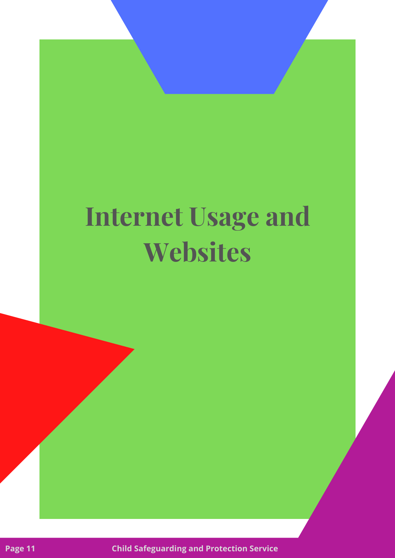## **Internet Usage and Websites**

**Page 11 Child Safeguarding and Protection Service**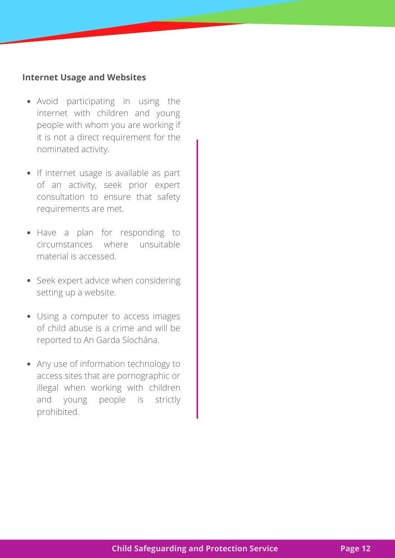#### **Internet Usage and Websites**

- Avoid participating in using the internet with children and young people with whom you are working if it is not a direct requirement for the nominated activity.
- If internet usage is available as part of an activity, seek prior expert consultation to ensure that safety requirements are met.
- Have a plan for responding to circumstances where unsuitable material is accessed.
- Seek expert advice when considering setting up a website.
- Using a computer to access images of child abuse is a crime and will be reported to An Garda Síochána.
- Any use of information technology to access sites that are pornographic or illegal when working with children and young people is strictly prohibited.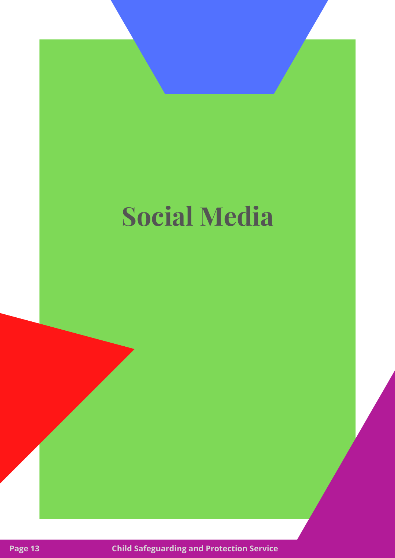### **Social Media**

**Page 13 Child Safeguarding and Protection Service**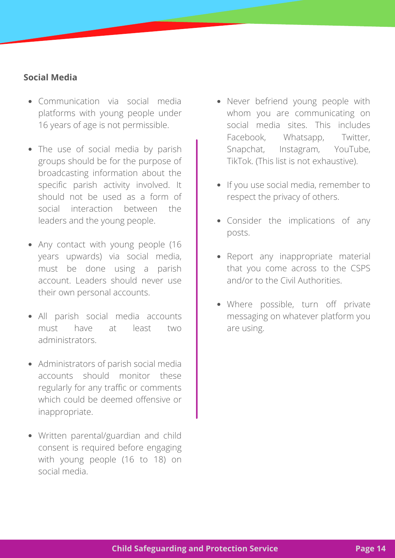#### **Social Media**

- Communication via social media platforms with young people under 16 years of age is not permissible.
- The use of social media by parish groups should be for the purpose of broadcasting information about the specific parish activity involved. It should not be used as a form of social interaction between the leaders and the young people.
- Any contact with young people (16 years upwards) via social media, must be done using a parish account. Leaders should never use their own personal accounts.
- All parish social media accounts must have at least two administrators.
- Administrators of parish social media accounts should monitor these regularly for any traffic or comments which could be deemed offensive or inappropriate.
- Written parental/guardian and child consent is required before engaging with young people (16 to 18) on social media.
- Never befriend young people with whom you are communicating on social media sites. This includes Facebook, Whatsapp, Twitter, Snapchat, Instagram, YouTube, TikTok. (This list is not exhaustive).
- If you use social media, remember to respect the privacy of others.
- Consider the implications of any posts.
- Report any inappropriate material that you come across to the CSPS and/or to the Civil Authorities.
- Where possible, turn off private messaging on whatever platform you are using.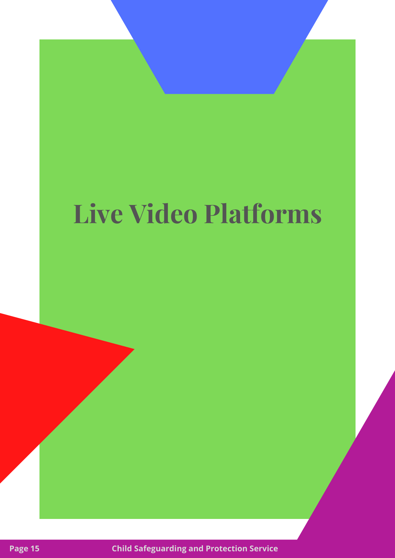### **Live Video Platforms**

**Page 15 Child Safeguarding and Protection Service**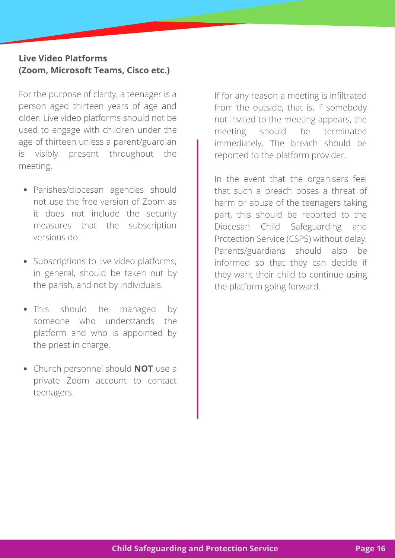#### **Live Video Platforms (Zoom, Microsoft Teams, Cisco etc.)**

For the purpose of clarity, a teenager is a person aged thirteen years of age and older. Live video platforms should not be used to engage with children under the age of thirteen unless a parent/guardian is visibly present throughout the meeting.

- Parishes/diocesan agencies should not use the free version of Zoom as it does not include the security measures that the subscription versions do.
- Subscriptions to live video platforms, in general, should be taken out by the parish, and not by individuals.
- This should be managed by someone who understands the platform and who is appointed by the priest in charge.
- Church personnel should **NOT** use a private Zoom account to contact teenagers.

If for any reason a meeting is infiltrated from the outside, that is, if somebody not invited to the meeting appears, the meeting should be terminated immediately. The breach should be reported to the platform provider.

In the event that the organisers feel that such a breach poses a threat of harm or abuse of the teenagers taking part, this should be reported to the Diocesan Child Safeguarding and Protection Service (CSPS) without delay. Parents/guardians should also be informed so that they can decide if they want their child to continue using the platform going forward.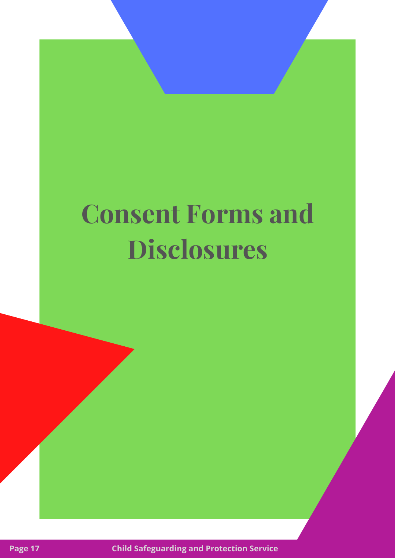## **Consent Forms and Disclosures**

**Page 17 Child Safeguarding and Protection Service**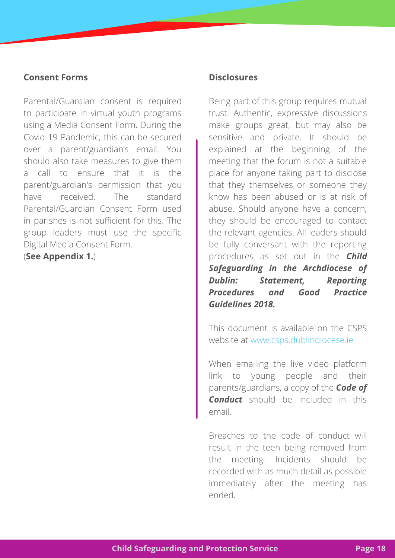#### **Consent Forms**

Parental/Guardian consent is required to participate in virtual youth programs using a Media Consent Form. During the Covid-19 Pandemic, this can be secured over a parent/guardian's email. You should also take measures to give them a call to ensure that it is the parent/guardian's permission that you have received The standard Parental/Guardian Consent Form used in parishes is not sufficient for this. The group leaders must use the specific Digital Media Consent Form.

(**See Appendix 1.**)

#### **Disclosures**

Being part of this group requires mutual trust. Authentic, expressive discussions make groups great, but may also be sensitive and private. It should be explained at the beginning of the meeting that the forum is not a suitable place for anyone taking part to disclose that they themselves or someone they know has been abused or is at risk of abuse. Should anyone have a concern, they should be encouraged to contact the relevant agencies. All leaders should be fully conversant with the reporting procedures as set out in the *Child Safeguarding in the Archdiocese of Dublin: Statement, Reporting Procedures and Good Practice Guidelines 2018.*

This document is available on the CSPS website at [www.csps.dublindiocese.ie](http://www.csps.dublindiocese.ie/)

When emailing the live video platform link to young people and their parents/guardians, a copy of the *Code of* **Conduct** should be included in this email.

Breaches to the code of conduct will result in the teen being removed from the meeting. Incidents should be recorded with as much detail as possible immediately after the meeting has ended.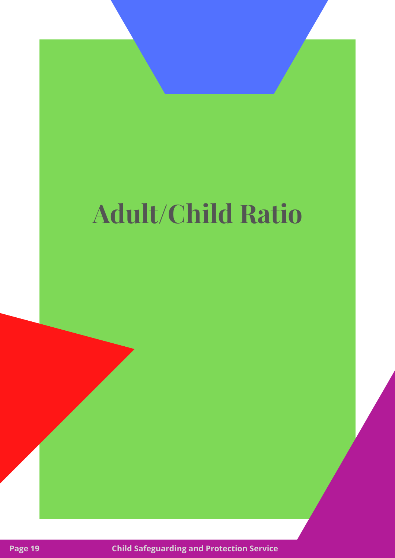### **Adult/Child Ratio**

**Page 19 Child Safeguarding and Protection Service**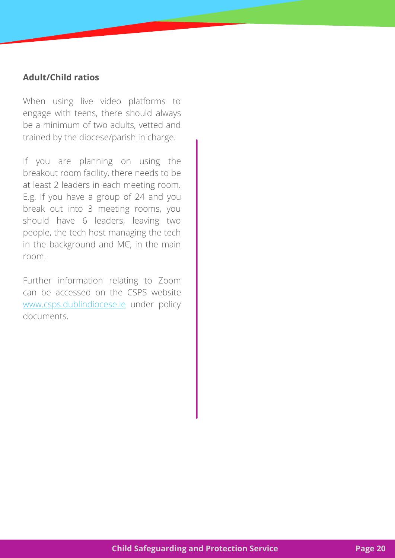#### **Adult/Child ratios**

When using live video platforms to engage with teens, there should always be a minimum of two adults, vetted and trained by the diocese/parish in charge.

If you are planning on using the breakout room facility, there needs to be at least 2 leaders in each meeting room. E.g. If you have a group of 24 and you break out into 3 meeting rooms, you should have 6 leaders, leaving two people, the tech host managing the tech in the background and MC, in the main room.

Further information relating to Zoom can be accessed on the CSPS website [www.csps.dublindiocese.ie](http://adult/child%20ratios%20When%20using%20live%20video%20platforms%20to%20engage%20with%20children,%20there%20should%20always%20be%20a%20minimum%20of%20two%20adults,%20vetted%20and%20trained%20by%20the%20diocese/parish%20in%20charge.%20If%20you%20are%20planning%20on%20using%20the%20breakout%20room%20facility,%20there%20needs%20to%20be%20at%20least%202%20leaders%20in%20each%20meeting%20room.%20E.g.%20If%20you%20have%20a%20group%20of%2024%20and%20you%20break%20out%20into%203%20meeting%20rooms,%20you%20should%20have%206%20leaders%20leaving%20two%20people,%20the%20tech%20host%20managing%20the%20tech%20in%20the%20background%20and%20MC.%20Further%20information%20relating%20to%20Zoom%20can%20be%20accessed%20on%20the%20CSPS%20website%20www.csps.dublindiocese.ie) under policy documents.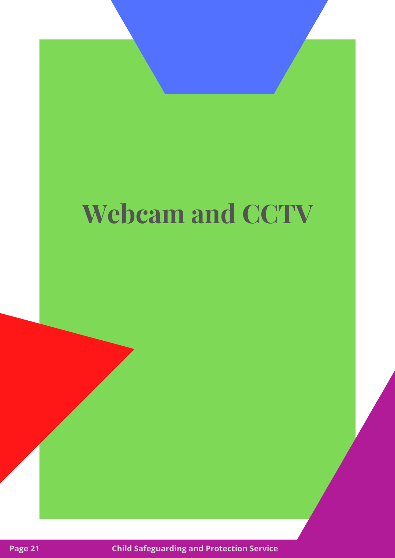### **Webcam and CCTV**

**Page 21 Child Safeguarding and Protection Service**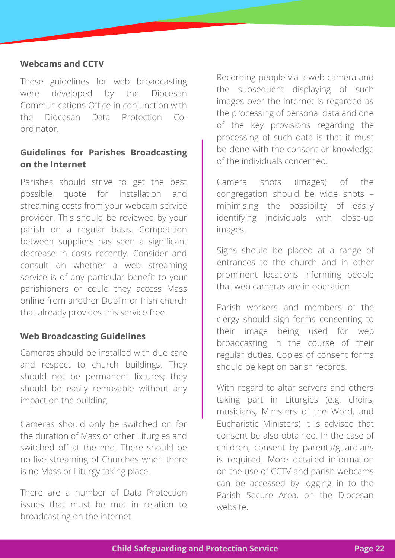#### **Webcams and CCTV**

These guidelines for web broadcasting were developed by the Diocesan Communications Office in conjunction with the Diocesan Data Protection Coordinator.

#### **Guidelines for Parishes Broadcasting on the Internet**

Parishes should strive to get the best possible quote for installation and streaming costs from your webcam service provider. This should be reviewed by your parish on a regular basis. Competition between suppliers has seen a significant decrease in costs recently. Consider and consult on whether a web streaming service is of any particular benefit to your parishioners or could they access Mass online from another Dublin or Irish church that already provides this service free.

#### **Web Broadcasting Guidelines**

Cameras should be installed with due care and respect to church buildings. They should not be permanent fixtures; they should be easily removable without any impact on the building.

Cameras should only be switched on for the duration of Mass or other Liturgies and switched off at the end. There should be no live streaming of Churches when there is no Mass or Liturgy taking place.

There are a number of Data Protection issues that must be met in relation to broadcasting on the internet.

Recording people via a web camera and the subsequent displaying of such images over the internet is regarded as the processing of personal data and one of the key provisions regarding the processing of such data is that it must be done with the consent or knowledge of the individuals concerned.

Camera shots (images) of the congregation should be wide shots – minimising the possibility of easily identifying individuals with close-up images.

Signs should be placed at a range of entrances to the church and in other prominent locations informing people that web cameras are in operation.

Parish workers and members of the clergy should sign forms consenting to their image being used for web broadcasting in the course of their regular duties. Copies of consent forms should be kept on parish records.

With regard to altar servers and others taking part in Liturgies (e.g. choirs, musicians, Ministers of the Word, and Eucharistic Ministers) it is advised that consent be also obtained. In the case of children, consent by parents/guardians is required. More detailed information on the use of CCTV and parish webcams can be accessed by logging in to the Parish Secure Area, on the Diocesan website.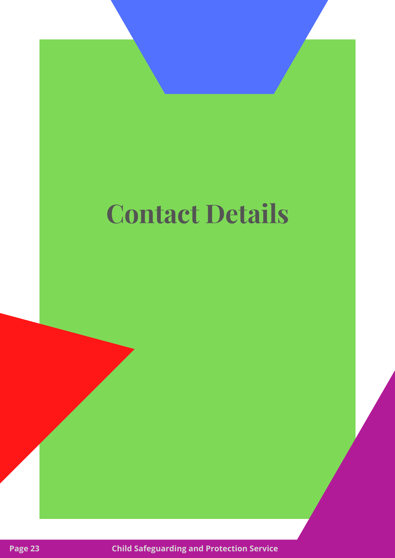### **Contact Details**

**Page 23 Child Safeguarding and Protection Service**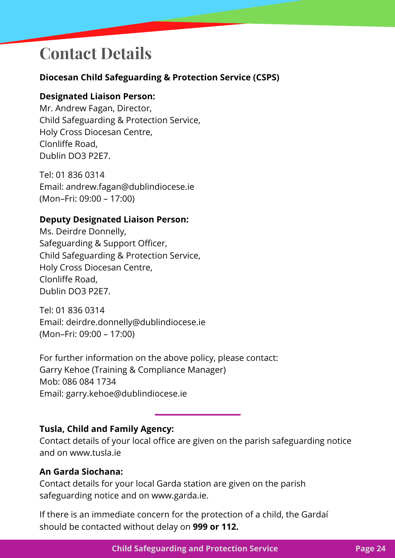### **Contact Details**

#### **Diocesan Child Safeguarding & Protection Service (CSPS)**

#### **Designated Liaison Person:**

Mr. Andrew Fagan, Director, Child Safeguarding & Protection Service, Holy Cross Diocesan Centre, Clonliffe Road, Dublin DO3 P2E7.

Tel: 01 836 0314 Email: andrew.fagan@dublindiocese.ie (Mon–Fri: 09:00 – 17:00)

#### **Deputy Designated Liaison Person:**

Ms. Deirdre Donnelly, Safeguarding & Support Officer, Child Safeguarding & Protection Service, Holy Cross Diocesan Centre, Clonliffe Road, Dublin DO3 P2E7.

Tel: 01 836 0314 Email: deirdre.donnelly@dublindiocese.ie (Mon–Fri: 09:00 – 17:00)

For further information on the above policy, please contact: Garry Kehoe (Training & Compliance Manager) Mob: 086 084 1734 Email: [garry.kehoe@dublindiocese.ie](mailto:garry.kehoe@dublindiocese.ie)

#### **Tusla, Child and Family Agency:**

Contact details of your local office are given on the parish safeguarding notice and on www.tusla.ie

#### **An Garda Siochana:**

Contact details for your local Garda station are given on the parish safeguarding notice and on www.garda.ie.

If there is an immediate concern for the protection of a child, the Gardaí should be contacted without delay on **999 or 112.**

**Child Safeguarding and Protection Service <b>Page 24**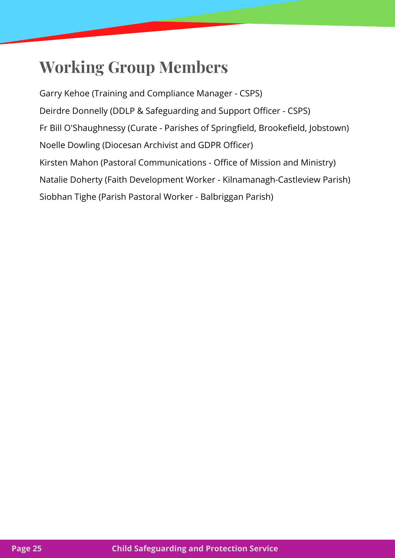### **Working Group Members**

Garry Kehoe (Training and Compliance Manager - CSPS) Deirdre Donnelly (DDLP & Safeguarding and Support Officer - CSPS) Fr Bill O'Shaughnessy (Curate - Parishes of Springfield, Brookefield, Jobstown) Noelle Dowling (Diocesan Archivist and GDPR Officer) Kirsten Mahon (Pastoral Communications - Office of Mission and Ministry) Natalie Doherty (Faith Development Worker - Kilnamanagh-Castleview Parish) Siobhan Tighe (Parish Pastoral Worker - Balbriggan Parish)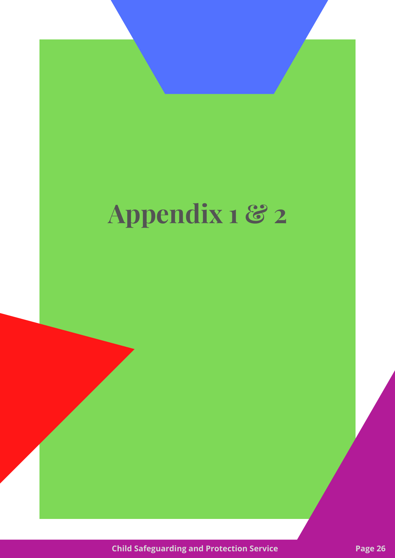## **Appendix 1 & 2**

**Child Safeguarding and Protection Service Page 26**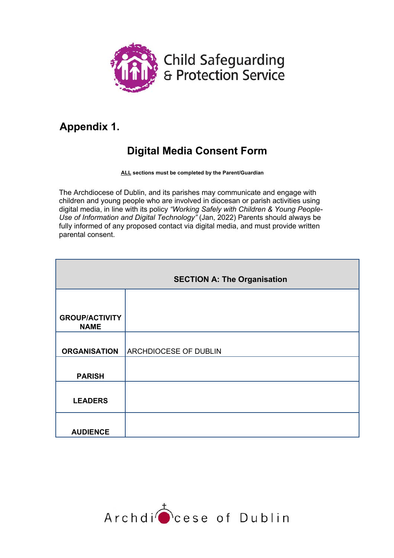

#### **Appendix 1.**

### **Digital Media Consent Form**

**ALL sections must be completed by the Parent/Guardian** 

The Archdiocese of Dublin, and its parishes may communicate and engage with children and young people who are involved in diocesan or parish activities using digital media, in line with its policy *"Working Safely with Children & Young People-Use of Information and Digital Technology"* (Jan, 2022) Parents should always be fully informed of any proposed contact via digital media, and must provide written parental consent.

|                                      | <b>SECTION A: The Organisation</b> |
|--------------------------------------|------------------------------------|
|                                      |                                    |
| <b>GROUP/ACTIVITY</b><br><b>NAME</b> |                                    |
| <b>ORGANISATION</b>                  | <b>ARCHDIOCESE OF DUBLIN</b>       |
|                                      |                                    |
| <b>PARISH</b>                        |                                    |
| <b>LEADERS</b>                       |                                    |
| <b>AUDIENCE</b>                      |                                    |

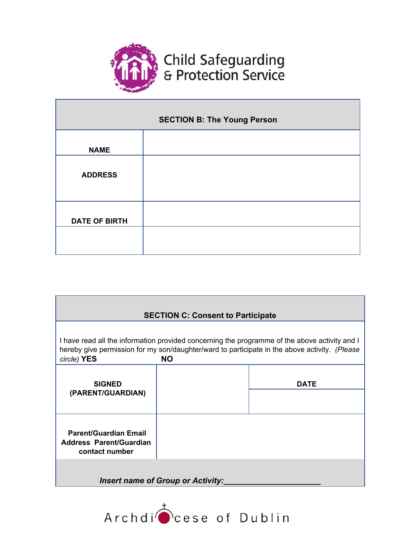

| <b>SECTION B: The Young Person</b> |  |  |
|------------------------------------|--|--|
| <b>NAME</b>                        |  |  |
| <b>ADDRESS</b>                     |  |  |
| <b>DATE OF BIRTH</b>               |  |  |
|                                    |  |  |

| <b>SECTION C: Consent to Participate</b>                                                                                                                                                                                   |  |             |  |
|----------------------------------------------------------------------------------------------------------------------------------------------------------------------------------------------------------------------------|--|-------------|--|
| I have read all the information provided concerning the programme of the above activity and I<br>hereby give permission for my son/daughter/ward to participate in the above activity. (Please<br>circle) YES<br><b>NO</b> |  |             |  |
| <b>SIGNED</b><br>(PARENT/GUARDIAN)                                                                                                                                                                                         |  | <b>DATE</b> |  |
| <b>Parent/Guardian Email</b><br><b>Address Parent/Guardian</b><br>contact number                                                                                                                                           |  |             |  |
| <b>Insert name of Group or Activity:</b>                                                                                                                                                                                   |  |             |  |

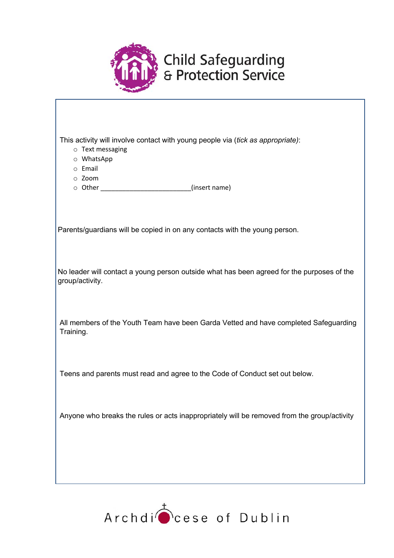

This activity will involve contact with young people via (*tick as appropriate)*:

- o Text messaging
- o WhatsApp
- o Email
- o Zoom
- o Other \_\_\_\_\_\_\_\_\_\_\_\_\_\_\_\_\_\_\_\_\_\_\_\_\_(insert name)

Parents/guardians will be copied in on any contacts with the young person.

No leader will contact a young person outside what has been agreed for the purposes of the group/activity.

All members of the Youth Team have been Garda Vetted and have completed Safeguarding Training.

Teens and parents must read and agree to the Code of Conduct set out below.

Anyone who breaks the rules or acts inappropriately will be removed from the group/activity

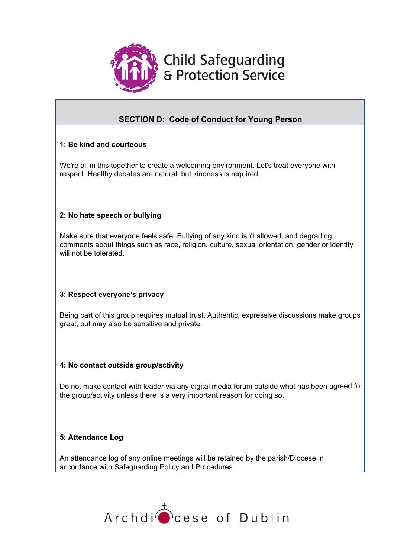

#### **SECTION D: Code of Conduct for Young Person**

#### **1: Be kind and courteous**

We're all in this together to create a welcoming environment. Let's treat everyone with respect. Healthy debates are natural, but kindness is required.

#### **2: No hate speech or bullying**

Make sure that everyone feels safe. Bullying of any kind isn't allowed, and degrading comments about things such as race, religion, culture, sexual orientation, gender or identity will not be tolerated.

#### **3: Respect everyone's privacy**

Being part of this group requires mutual trust. Authentic, expressive discussions make groups great, but may also be sensitive and private.

#### **4: No contact outside group/activity**

Do not make contact with leader via any digital media forum outside what has been agreed for the group/activity unless there is a very important reason for doing so.

#### **5: Attendance Log**

An attendance log of any online meetings will be retained by the parish/Diocese in accordance with Safeguarding Policy and Procedures

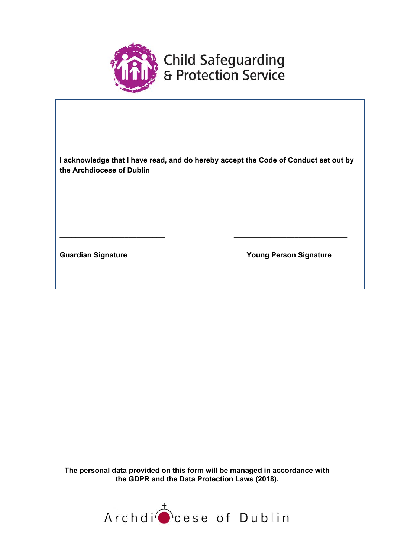

| I acknowledge that I have read, and do hereby accept the Code of Conduct set out by<br>the Archdiocese of Dublin |                               |
|------------------------------------------------------------------------------------------------------------------|-------------------------------|
|                                                                                                                  |                               |
| <b>Guardian Signature</b>                                                                                        | <b>Young Person Signature</b> |

**The personal data provided on this form will be managed in accordance with the GDPR and the Data Protection Laws (2018).**

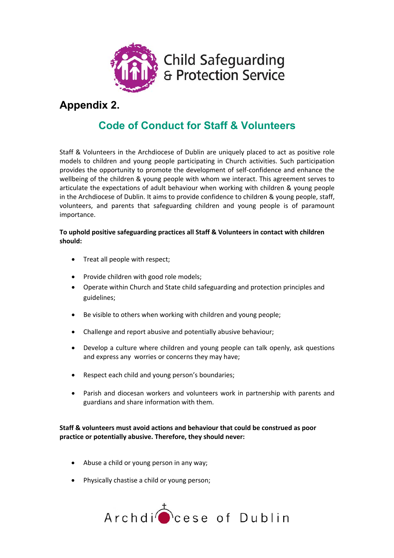

#### **Appendix 2.**

#### **Code of Conduct for Staff & Volunteers**

Staff & Volunteers in the Archdiocese of Dublin are uniquely placed to act as positive role models to children and young people participating in Church activities. Such participation provides the opportunity to promote the development of self-confidence and enhance the wellbeing of the children & young people with whom we interact. This agreement serves to articulate the expectations of adult behaviour when working with children & young people in the Archdiocese of Dublin. It aims to provide confidence to children & young people, staff, volunteers, and parents that safeguarding children and young people is of paramount importance.

#### **To uphold positive safeguarding practices all Staff & Volunteers in contact with children should:**

- Treat all people with respect;
- Provide children with good role models;
- Operate within Church and State child safeguarding and protection principles and guidelines;
- Be visible to others when working with children and young people;
- Challenge and report abusive and potentially abusive behaviour;
- Develop a culture where children and young people can talk openly, ask questions and express any worries or concerns they may have;
- Respect each child and young person's boundaries;
- Parish and diocesan workers and volunteers work in partnership with parents and guardians and share information with them.

#### **Staff & volunteers must avoid actions and behaviour that could be construed as poor practice or potentially abusive. Therefore, they should never:**

- Abuse a child or young person in any way;
- Physically chastise a child or young person;

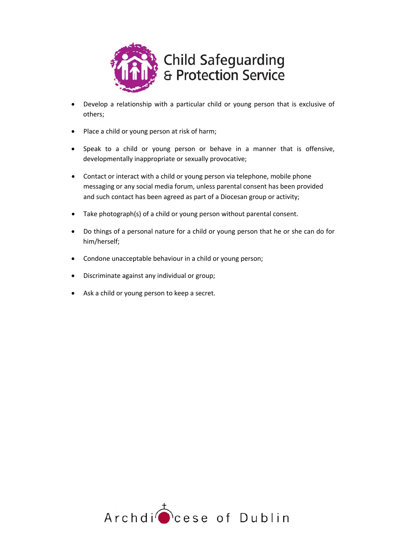

- Develop a relationship with a particular child or young person that is exclusive of others;
- Place a child or young person at risk of harm;
- Speak to a child or young person or behave in a manner that is offensive, developmentally inappropriate or sexually provocative;
- Contact or interact with a child or young person via telephone, mobile phone messaging or any social media forum, unless parental consent has been provided and such contact has been agreed as part of a Diocesan group or activity;
- Take photograph(s) of a child or young person without parental consent.
- Do things of a personal nature for a child or young person that he or she can do for him/herself;
- Condone unacceptable behaviour in a child or young person;
- Discriminate against any individual or group;
- Ask a child or young person to keep a secret.

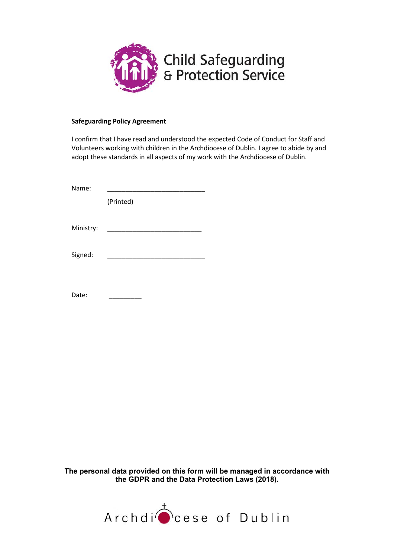

#### **Safeguarding Policy Agreement**

Date:

I confirm that I have read and understood the expected Code of Conduct for Staff and Volunteers working with children in the Archdiocese of Dublin. I agree to abide by and adopt these standards in all aspects of my work with the Archdiocese of Dublin.

| Name:     |           |
|-----------|-----------|
|           | (Printed) |
| Ministry: |           |
| Signed:   |           |
|           |           |

**The personal data provided on this form will be managed in accordance with the GDPR and the Data Protection Laws (2018).**